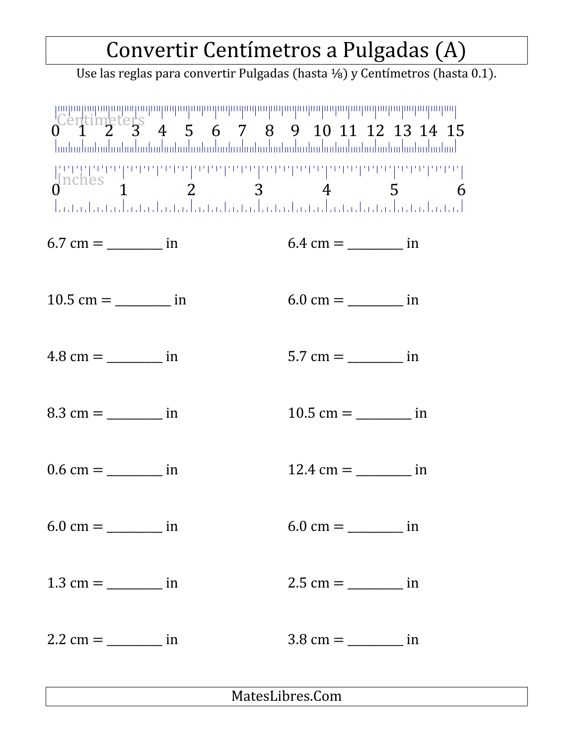## Convertir Centímetros a Pulgadas (A)

Use las reglas para convertir Pulgadas (hasta ⅛) y Centímetros (hasta 0.1).

|                           | Centimeters 4 5 6 7 8 9 10 11 12 13 14 15 |                                       |  |
|---------------------------|-------------------------------------------|---------------------------------------|--|
|                           |                                           |                                       |  |
| 6.7 cm = $\frac{ }{ }$ in |                                           | 6.4 cm = __________ in                |  |
|                           |                                           | 6.0 cm = __________ in                |  |
|                           |                                           |                                       |  |
|                           |                                           |                                       |  |
|                           |                                           | $12.4 \text{ cm} =$ in                |  |
| 6.0 cm = $\frac{ }{ }$ in |                                           | 6.0 cm = __________ in                |  |
|                           |                                           | $2.5 \text{ cm} =$ _______________ in |  |
|                           |                                           |                                       |  |
| MatesLibres.Com           |                                           |                                       |  |